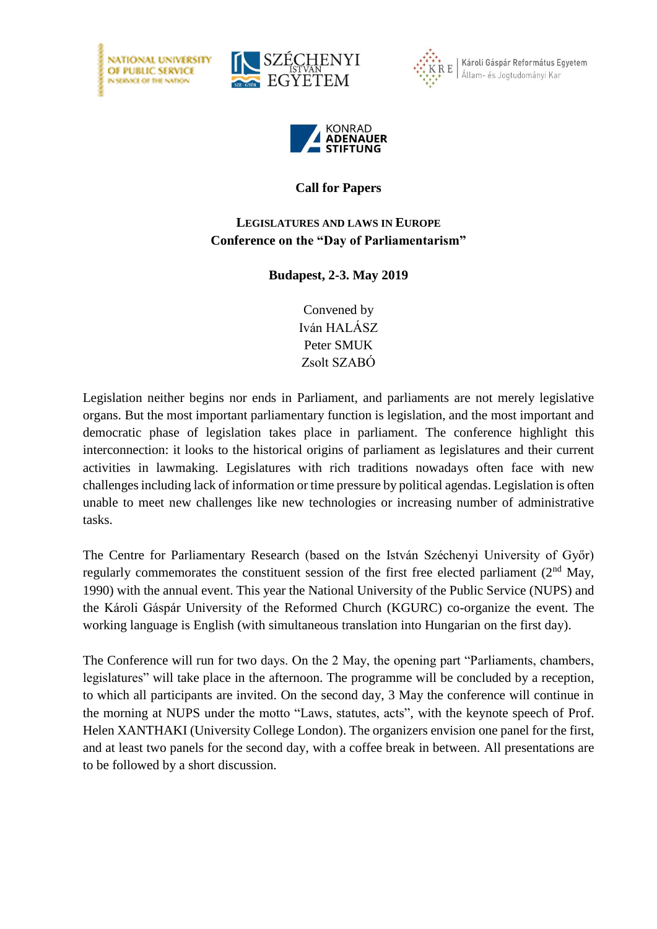





Károli Gáspár Református Egyetem Állam- és Jogtudományi Kar



## **Call for Papers**

## **LEGISLATURES AND LAWS IN EUROPE Conference on the "Day of Parliamentarism"**

## **Budapest, 2-3. May 2019**

Convened by Iván HALÁSZ Peter SMUK Zsolt SZABÓ

Legislation neither begins nor ends in Parliament, and parliaments are not merely legislative organs. But the most important parliamentary function is legislation, and the most important and democratic phase of legislation takes place in parliament. The conference highlight this interconnection: it looks to the historical origins of parliament as legislatures and their current activities in lawmaking. Legislatures with rich traditions nowadays often face with new challenges including lack of information or time pressure by political agendas. Legislation is often unable to meet new challenges like new technologies or increasing number of administrative tasks.

The Centre for Parliamentary Research (based on the István Széchenyi University of Győr) regularly commemorates the constituent session of the first free elected parliament  $(2<sup>nd</sup>$  May, 1990) with the annual event. This year the National University of the Public Service (NUPS) and the Károli Gáspár University of the Reformed Church (KGURC) co-organize the event. The working language is English (with simultaneous translation into Hungarian on the first day).

The Conference will run for two days. On the 2 May, the opening part "Parliaments, chambers, legislatures" will take place in the afternoon. The programme will be concluded by a reception, to which all participants are invited. On the second day, 3 May the conference will continue in the morning at NUPS under the motto "Laws, statutes, acts", with the keynote speech of Prof. Helen XANTHAKI (University College London). The organizers envision one panel for the first, and at least two panels for the second day, with a coffee break in between. All presentations are to be followed by a short discussion.